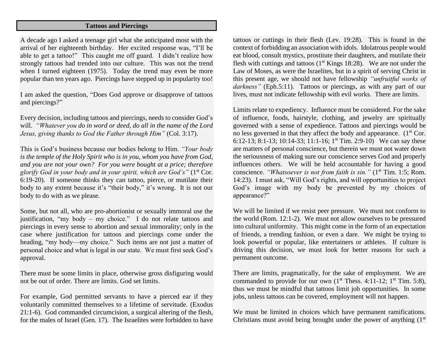## **Tattoos and Piercings**

A decade ago I asked a teenage girl what she anticipated most with the arrival of her eighteenth birthday. Her excited response was, "I'll be able to get a tattoo!" This caught me off guard. I didn't realize how strongly tattoos had trended into our culture. This was not the trend when I turned eighteen (1975). Today the trend may even be more popular than ten years ago. Piercings have stepped up in popularity too!

I am asked the question, "Does God approve or disapprove of tattoos and piercings?"

Every decision, including tattoos and piercings, needs to consider God's will. *"Whatever you do in word or deed, do all in the name of the Lord Jesus, giving thanks to God the Father through Him"* (Col. 3:17).

This is God's business because our bodies belong to Him. *"Your body is the temple of the Holy Spirit who is in you, whom you have from God, and you are not your own? For you were bought at a price; therefore glorify God in your body and in your spirit, which are God's"* (1st Cor. 6:19-20). If someone thinks they can tattoo, pierce, or mutilate their body to any extent because it's "their body," it's wrong. It is not our body to do with as we please.

Some, but not all, who are pro-abortionist or sexually immoral use the justification, "my body – my choice." I do not relate tattoos and piercings in every sense to abortion and sexual immorality; only in the case where justification for tattoos and piercings come under the heading, "my body—my choice." Such items are not just a matter of personal choice and what is legal in our state. We must first seek God's approval.

There must be some limits in place, otherwise gross disfiguring would not be out of order. There are limits. God set limits.

For example, God permitted servants to have a pierced ear if they voluntarily committed themselves to a lifetime of servitude. (Exodus 21:1-6). God commanded circumcision, a surgical altering of the flesh, for the males of Israel (Gen. 17). The Israelites were forbidden to have

tattoos or cuttings in their flesh (Lev. 19:28). This is found in the context of forbidding an association with idols. Idolatrous people would eat blood, consult mystics, prostitute their daughters, and mutilate their flesh with cuttings and tattoos  $(1<sup>st</sup>$  Kings 18:28). We are not under the Law of Moses, as were the Israelites, but in a spirit of serving Christ in this present age, we should not have fellowship *"unfruitful works of*  darkness" (Eph.5:11). Tattoos or piercings, as with any part of our lives, must not indicate fellowship with evil works. There are limits.

Limits relate to expediency. Influence must be considered. For the sake of influence, foods, hairstyle, clothing, and jewelry are spiritually governed with a sense of expedience. Tattoos and piercings would be no less governed in that they affect the body and appearance.  $(1<sup>st</sup> Cor.$ 6:12-13; 8:1-13; 10:14-33; 11:1-16; 1<sup>st</sup> Tim. 2:9-10) We can say these are matters of personal conscience, but therein we must not water down the seriousness of making sure our conscience serves God and properly influences others. We will be held accountable for having a good conscience. *"Whatsoever is not from faith is sin."* (1<sup>st</sup> Tim. 1:5; Rom. 14:23). I must ask, "Will God's rights, and will opportunities to project God's image with my body be prevented by my choices of appearance?"

We will be limited if we resist peer pressure. We must not conform to the world (Rom. 12:1-2). We must not allow ourselves to be pressured into cultural uniformity. This might come in the form of an expectation of friends, a trending fashion, or even a dare. We might be trying to look powerful or popular, like entertainers or athletes. If culture is driving this decision, we must look for better reasons for such a permanent outcome.

There are limits, pragmatically, for the sake of employment. We are commanded to provide for our own  $(1<sup>st</sup>$  Thess. 4:11-12;  $1<sup>st</sup>$  Tim. 5:8), thus we must be mindful that tattoos limit job opportunities. In some jobs, unless tattoos can be covered, employment will not happen.

We must be limited in choices which have permanent ramifications. Christians must avoid being brought under the power of anything  $(1<sup>st</sup>$